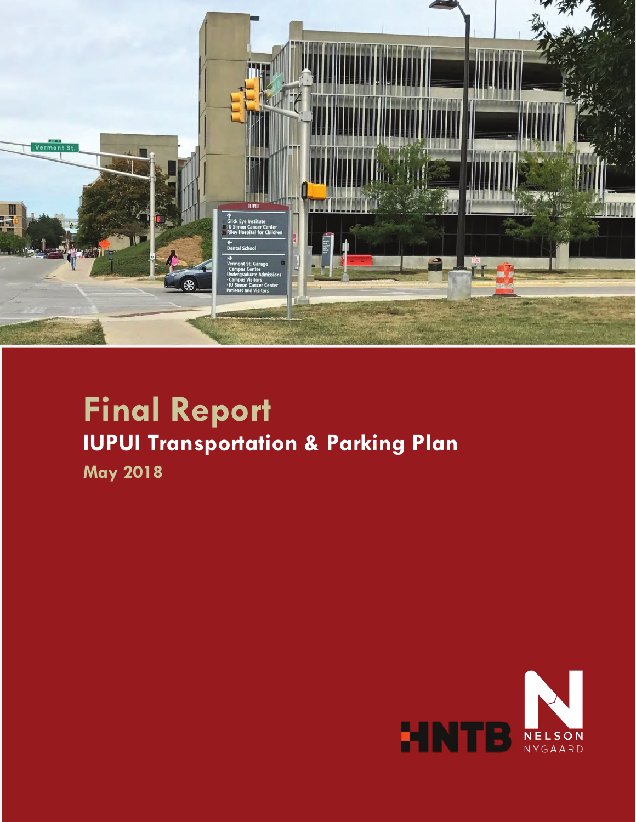

# **Final Report IUPUI Transportation & Parking Plan**

**May 2018** 

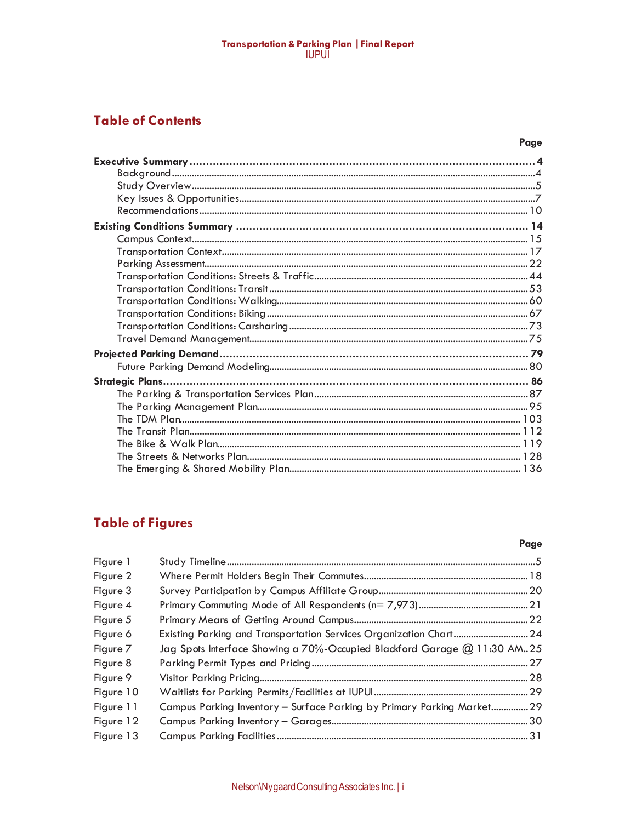# Transportation & Parking Plan | Final Report<br>|UPU|

### **Table of Contents**

# **Table of Figures**

#### Page

| Figure 1  |                                                                          |  |
|-----------|--------------------------------------------------------------------------|--|
| Figure 2  |                                                                          |  |
| Figure 3  |                                                                          |  |
| Figure 4  |                                                                          |  |
| Figure 5  |                                                                          |  |
| Figure 6  | Existing Parking and Transportation Services Organization Chart 24       |  |
| Figure 7  | Jag Spots Interface Showing a 70%-Occupied Blackford Garage @ 11:30 AM25 |  |
| Figure 8  |                                                                          |  |
| Figure 9  |                                                                          |  |
| Figure 10 |                                                                          |  |
| Figure 11 | Campus Parking Inventory - Surface Parking by Primary Parking Market29   |  |
| Figure 12 |                                                                          |  |
| Figure 13 |                                                                          |  |
|           |                                                                          |  |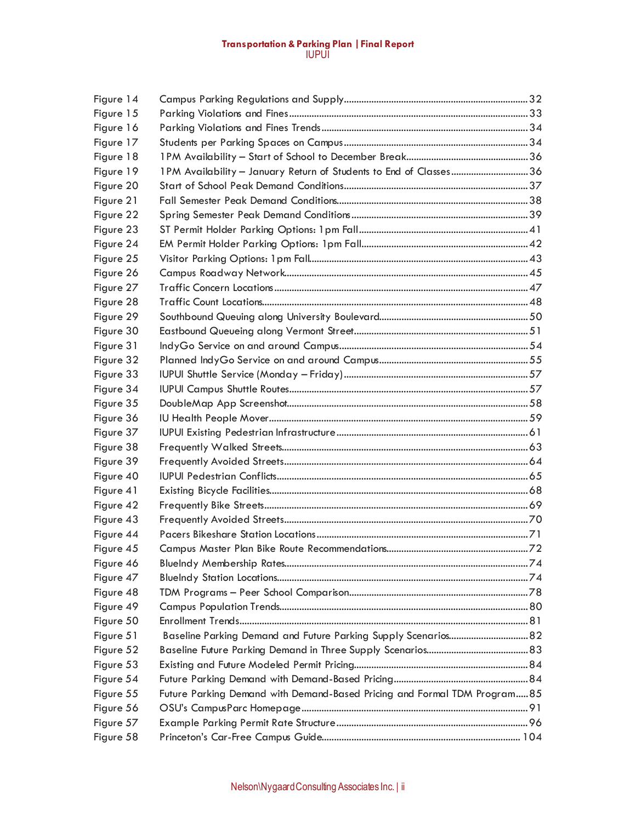#### **Transportation & Parking Plan |Final Report**  IUPUI

| 1PM Availability - January Return of Students to End of Classes36<br>Figure 23<br>Figure 25<br>Figure 26<br>Figure 27<br>Figure 28<br>Figure 29<br>Figure 30<br>Figure 31<br>Figure 32<br>Figure 33<br>Figure 34<br>Figure 35<br>Figure 36<br>Figure 37<br>Figure 38<br>Figure 39<br>Figure 40<br>Figure 41<br>Figure 42<br>Figure 43<br>Figure 44<br>Figure 45<br>Figure 46<br>Figure 47<br>Figure 48<br>Figure 49<br>Figure 50<br>Baseline Parking Demand and Future Parking Supply Scenarios 82<br>Figure 51<br>Figure 52<br>Figure 53<br>Figure 54<br>Future Parking Demand with Demand-Based Pricing and Formal TDM Program 85<br>Figure 55<br>Figure 56<br>Figure 57 | Figure 14 |  |
|----------------------------------------------------------------------------------------------------------------------------------------------------------------------------------------------------------------------------------------------------------------------------------------------------------------------------------------------------------------------------------------------------------------------------------------------------------------------------------------------------------------------------------------------------------------------------------------------------------------------------------------------------------------------------|-----------|--|
|                                                                                                                                                                                                                                                                                                                                                                                                                                                                                                                                                                                                                                                                            | Figure 15 |  |
|                                                                                                                                                                                                                                                                                                                                                                                                                                                                                                                                                                                                                                                                            | Figure 16 |  |
|                                                                                                                                                                                                                                                                                                                                                                                                                                                                                                                                                                                                                                                                            | Figure 17 |  |
|                                                                                                                                                                                                                                                                                                                                                                                                                                                                                                                                                                                                                                                                            | Figure 18 |  |
|                                                                                                                                                                                                                                                                                                                                                                                                                                                                                                                                                                                                                                                                            | Figure 19 |  |
|                                                                                                                                                                                                                                                                                                                                                                                                                                                                                                                                                                                                                                                                            | Figure 20 |  |
|                                                                                                                                                                                                                                                                                                                                                                                                                                                                                                                                                                                                                                                                            | Figure 21 |  |
|                                                                                                                                                                                                                                                                                                                                                                                                                                                                                                                                                                                                                                                                            | Figure 22 |  |
|                                                                                                                                                                                                                                                                                                                                                                                                                                                                                                                                                                                                                                                                            |           |  |
|                                                                                                                                                                                                                                                                                                                                                                                                                                                                                                                                                                                                                                                                            | Figure 24 |  |
|                                                                                                                                                                                                                                                                                                                                                                                                                                                                                                                                                                                                                                                                            |           |  |
|                                                                                                                                                                                                                                                                                                                                                                                                                                                                                                                                                                                                                                                                            |           |  |
|                                                                                                                                                                                                                                                                                                                                                                                                                                                                                                                                                                                                                                                                            |           |  |
|                                                                                                                                                                                                                                                                                                                                                                                                                                                                                                                                                                                                                                                                            |           |  |
|                                                                                                                                                                                                                                                                                                                                                                                                                                                                                                                                                                                                                                                                            |           |  |
|                                                                                                                                                                                                                                                                                                                                                                                                                                                                                                                                                                                                                                                                            |           |  |
|                                                                                                                                                                                                                                                                                                                                                                                                                                                                                                                                                                                                                                                                            |           |  |
|                                                                                                                                                                                                                                                                                                                                                                                                                                                                                                                                                                                                                                                                            |           |  |
|                                                                                                                                                                                                                                                                                                                                                                                                                                                                                                                                                                                                                                                                            |           |  |
|                                                                                                                                                                                                                                                                                                                                                                                                                                                                                                                                                                                                                                                                            |           |  |
|                                                                                                                                                                                                                                                                                                                                                                                                                                                                                                                                                                                                                                                                            |           |  |
|                                                                                                                                                                                                                                                                                                                                                                                                                                                                                                                                                                                                                                                                            |           |  |
|                                                                                                                                                                                                                                                                                                                                                                                                                                                                                                                                                                                                                                                                            |           |  |
|                                                                                                                                                                                                                                                                                                                                                                                                                                                                                                                                                                                                                                                                            |           |  |
|                                                                                                                                                                                                                                                                                                                                                                                                                                                                                                                                                                                                                                                                            |           |  |
|                                                                                                                                                                                                                                                                                                                                                                                                                                                                                                                                                                                                                                                                            |           |  |
|                                                                                                                                                                                                                                                                                                                                                                                                                                                                                                                                                                                                                                                                            |           |  |
|                                                                                                                                                                                                                                                                                                                                                                                                                                                                                                                                                                                                                                                                            |           |  |
|                                                                                                                                                                                                                                                                                                                                                                                                                                                                                                                                                                                                                                                                            |           |  |
|                                                                                                                                                                                                                                                                                                                                                                                                                                                                                                                                                                                                                                                                            |           |  |
|                                                                                                                                                                                                                                                                                                                                                                                                                                                                                                                                                                                                                                                                            |           |  |
|                                                                                                                                                                                                                                                                                                                                                                                                                                                                                                                                                                                                                                                                            |           |  |
|                                                                                                                                                                                                                                                                                                                                                                                                                                                                                                                                                                                                                                                                            |           |  |
|                                                                                                                                                                                                                                                                                                                                                                                                                                                                                                                                                                                                                                                                            |           |  |
|                                                                                                                                                                                                                                                                                                                                                                                                                                                                                                                                                                                                                                                                            |           |  |
|                                                                                                                                                                                                                                                                                                                                                                                                                                                                                                                                                                                                                                                                            |           |  |
|                                                                                                                                                                                                                                                                                                                                                                                                                                                                                                                                                                                                                                                                            |           |  |
|                                                                                                                                                                                                                                                                                                                                                                                                                                                                                                                                                                                                                                                                            |           |  |
|                                                                                                                                                                                                                                                                                                                                                                                                                                                                                                                                                                                                                                                                            |           |  |
|                                                                                                                                                                                                                                                                                                                                                                                                                                                                                                                                                                                                                                                                            |           |  |
|                                                                                                                                                                                                                                                                                                                                                                                                                                                                                                                                                                                                                                                                            |           |  |
|                                                                                                                                                                                                                                                                                                                                                                                                                                                                                                                                                                                                                                                                            |           |  |
|                                                                                                                                                                                                                                                                                                                                                                                                                                                                                                                                                                                                                                                                            |           |  |
|                                                                                                                                                                                                                                                                                                                                                                                                                                                                                                                                                                                                                                                                            | Figure 58 |  |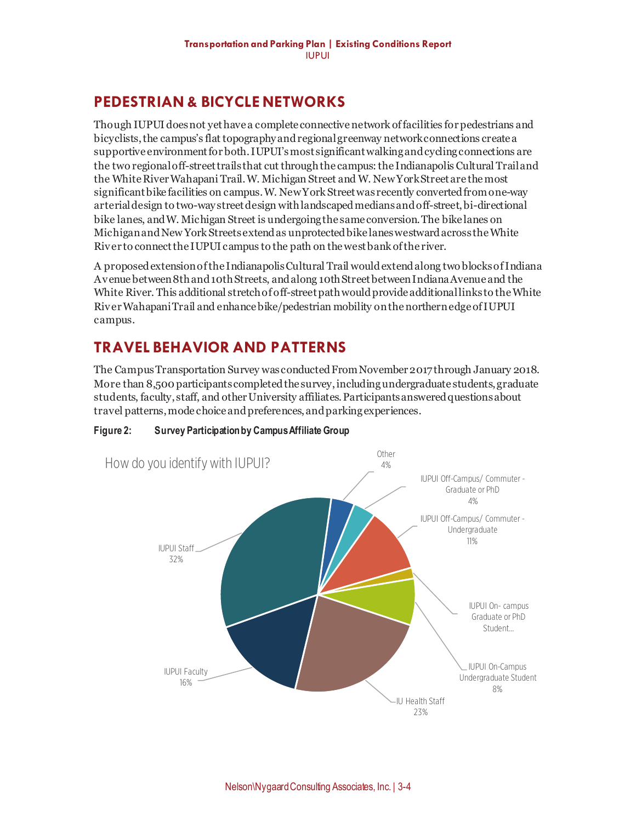## **PEDESTRIAN & BICYCLE NETWORKS**

Though IUPUI does not yet have a complete connective network of facilities for pedestrians and bicyclists, the campus's flat topography and regional greenway network connections create a supportive environment for both. IUPUI's most significant walking and cyclingconnections are the two regional off-street trails that cut through the campus: the Indianapolis Cultural Trail and the White River Wahapani Trail. W. Michigan Street and W. New York Street are the most significant bike facilities on campus. W. New York Street was recently convertedfrom one-way arterialdesign to two-way street design with landscaped medians and off-street, bi-directional bike lanes, and W. Michigan Street is undergoing the same conversion. The bike lanes on Michigan and New York Streets extend as unprotected bike lanes westward across the White River to connect the IUPUI campus to the path on the west bank of the river.

A proposed extension of the Indianapolis Cultural Trail would extend along two blocks of Indiana Avenue between 8th and 10th Streets, and along 10th Street between Indiana Avenue and the White River. This additional stretch of off-street path would provide additional links to the White River Wahapani Trail and enhance bike/pedestrian mobility on the northern edge of IUPUI campus.

# **TRAVEL BEHAVIOR AND PATTERNS**

The Campus Transportation Survey was conducted From November 2017 through January 2018. More than 8,500 participants completed the survey,including undergraduate students, graduate students, faculty, staff, and other University affiliates. Participantsansweredquestions about travel patterns, mode choice and preferences, andparking experiences.



**Figure 2: Survey Participation by Campus Affiliate Group**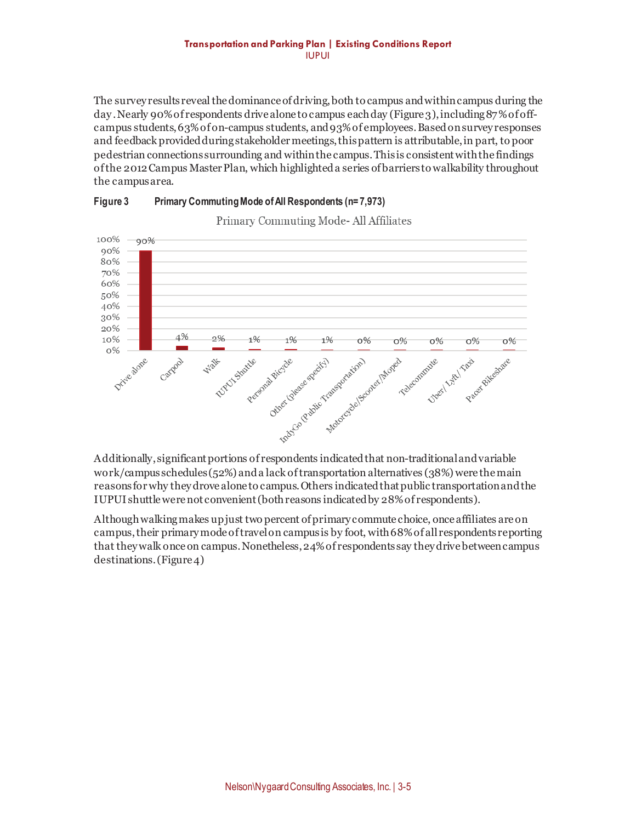#### **Transportation and Parking Plan | Existing Conditions Report**  IUPUI

The survey results reveal the dominance of driving, both to campus and within campus during the day . Nearly 90% of respondents drive alone to campus each day (Figure 3), including 87% of offcampus students, 63% of on-campus students, and 93% of employees. Based on survey responses and feedback provided during stakeholder meetings, this pattern is attributable, in part, to poor pedestrian connections surrounding and within the campus. This is consistent with the findings of the 2012 Campus Master Plan, which highlighted a series of barriers to walkability throughout the campus area.





Primary Commuting Mode-All Affiliates

work/campus schedules(52%) and a lack of transportation alternatives (38%) were the main reasons for why they drove alone to campus. Others indicated that public transportation and the IUPUI shuttle were not convenient (both reasons indicated by 28% of respondents).

Although walking makes up just two percent of primary commute choice, once affiliates are on campus, their primary mode of travel on campusis by foot, with 68% of all respondents reporting that they walk once on campus.Nonetheless, 24% of respondents say they drive between campus destinations. (Figure 4)